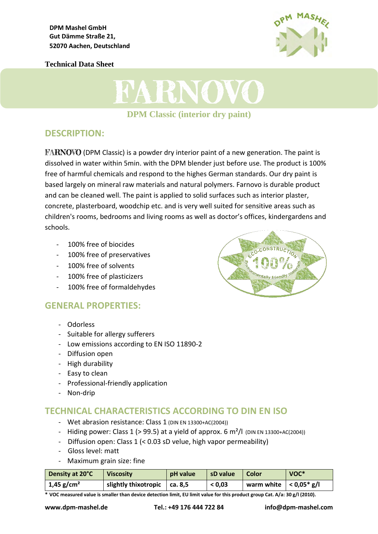**Technical Data Sheet**





# **DESCRIPTION:**

**FARNOVO** (DPM Classic) is a powder dry interior paint of a new generation. The paint is dissolved in water within 5min. with the DPM blender just before use. The product is 100% free of harmful chemicals and respond to the highes German standards. Our dry paint is based largely on mineral raw materials and natural polymers. Farnovo is durable product and can be cleaned well. The paint is applied to solid surfaces such as interior plaster, concrete, plasterboard, woodchip etc. and is very well suited for sensitive areas such as children's rooms, bedrooms and living rooms as well as doctor's offices, kindergardens and schools.

- 100% free of biocides
- 100% free of preservatives
- 100% free of solvents
- 100% free of plasticizers
- 100% free of formaldehydes

# **GENERAL PROPERTIES:**

- Odorless
- Suitable for allergy sufferers
- Low emissions according to EN ISO 11890-2
- Diffusion open
- High durability
- Easy to clean
- Professional-friendly application
- Non-drip

### **TECHNICAL CHARACTERISTICS ACCORDING TO DIN EN ISO**

- Wet abrasion resistance: Class 1 (DIN EN 13300+AC(2004))
- Hiding power: Class 1 (> 99.5) at a yield of approx. 6  $m^2/l$  (DIN EN 13300+AC(2004))
- Diffusion open: Class 1 (< 0.03 sD velue, high vapor permeability)
- Gloss level: matt
- Maximum grain size: fine

| Density at 20°C        | <b>Viscosity</b>                     | pH value | sD value | Color                      | VOC* |
|------------------------|--------------------------------------|----------|----------|----------------------------|------|
| 1,45 g/cm <sup>2</sup> | slightly thixotropic $\vert$ ca. 8,5 |          | < 0.03   | warm white $ $ < 0.05* g/l |      |

**\* VOC measured value is smaller than device detection limit, EU limit value for this product group Cat. A/a: 30 g/l (2010).**

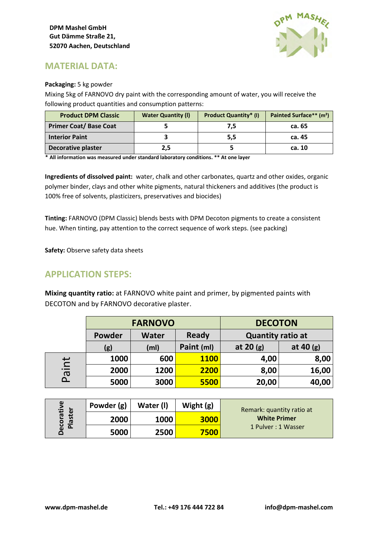

# **MATERIAL DATA:**

#### **Packaging:** 5 kg powder

Mixing 5kg of FARNOVO dry paint with the corresponding amount of water, you will receive the following product quantities and consumption patterns:

| <b>Product DPM Classic</b>    | <b>Water Quantity (I)</b> | <b>Product Quantity* (I)</b> | Painted Surface** (m <sup>2</sup> ) |
|-------------------------------|---------------------------|------------------------------|-------------------------------------|
| <b>Primer Coat/ Base Coat</b> |                           | 7,5                          | ca. 65                              |
| <b>Interior Paint</b>         |                           | 5,5                          | ca. 45                              |
| <b>Decorative plaster</b>     | 2,5                       |                              | ca. 10                              |

**\* All information was measured under standard laboratory conditions. \*\* At one layer** 

**Ingredients of dissolved paint:** water, chalk and other carbonates, quartz and other oxides, organic polymer binder, clays and other white pigments, natural thickeners and additives (the product is 100% free of solvents, plasticizers, preservatives and biocides)

**Tinting:** FARNOVO (DPM Classic) blends bests with DPM Decoton pigments to create a consistent hue. When tinting, pay attention to the correct sequence of work steps. (see packing)

**Safety:** Observe safety data sheets

# **APPLICATION STEPS:**

**Mixing quantity ratio:** at FARNOVO white paint and primer, by pigmented paints with DECOTON and by FARNOVO decorative plaster.

|                                                                              | <b>FARNOVO</b> |              |             | <b>DECOTON</b>           |             |  |
|------------------------------------------------------------------------------|----------------|--------------|-------------|--------------------------|-------------|--|
|                                                                              | Powder         | <b>Water</b> | Ready       | <b>Quantity ratio at</b> |             |  |
|                                                                              | (g)            | (ml)         | Paint (ml)  | at $20(g)$               | at 40 $(g)$ |  |
| $\overline{\mathsf{r}}$<br>$\overline{\phantom{0}}$<br>$\boldsymbol{\sigma}$ | 1000           | 600          | <b>1100</b> | 4,00                     | 8,00        |  |
|                                                                              | 2000           | 1200         | 2200        | 8,00                     | 16,00       |  |
| $\Omega$                                                                     | 5000           | 3000         | 5500        | 20,00                    | 40,00       |  |

| ω<br>ecorativ<br>laster<br>$\overline{\mathbf{a}}$ | Powder (g) | Water (I) | Wight $(g)$ | Remark: quantity ratio at |
|----------------------------------------------------|------------|-----------|-------------|---------------------------|
|                                                    | 2000       | 1000      | 3000        | <b>White Primer</b>       |
|                                                    | 5000       | 2500      | <b>7500</b> | 1 Pulver: 1 Wasser        |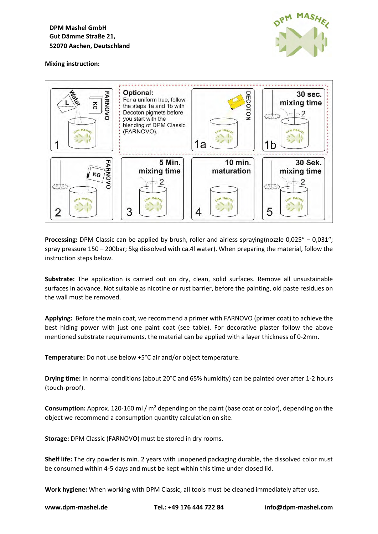**DPM Mashel GmbH Gut Dämme Straße 21, 52070 Aachen, Deutschland** 



#### **Mixing instruction:**



**Processing:** DPM Classic can be applied by brush, roller and airless spraying(nozzle 0,025" – 0,031"; spray pressure 150 – 200bar; 5kg dissolved with ca.4l water). When preparing the material, follow the instruction steps below.

**Substrate:** The application is carried out on dry, clean, solid surfaces. Remove all unsustainable surfaces in advance. Not suitable as nicotine or rust barrier, before the painting, old paste residues on the wall must be removed.

**Applying:** Before the main coat, we recommend a primer with FARNOVO (primer coat) to achieve the best hiding power with just one paint coat (see table). For decorative plaster follow the above mentioned substrate requirements, the material can be applied with a layer thickness of 0-2mm.

**Temperature:** Do not use below +5°C air and/or object temperature.

**Drying time:** In normal conditions (about 20°C and 65% humidity) can be painted over after 1-2 hours (touch-proof).

**Consumption:** Approx. 120-160 ml / m² depending on the paint (base coat or color), depending on the object we recommend a consumption quantity calculation on site.

**Storage:** DPM Classic (FARNOVO) must be stored in dry rooms.

**Shelf life:** The dry powder is min. 2 years with unopened packaging durable, the dissolved color must be consumed within 4-5 days and must be kept within this time under closed lid.

**Work hygiene:** When working with DPM Classic, all tools must be cleaned immediately after use.

**www.dpm-mashel.de Tel.: +49 176 444 722 84 info@dpm-mashel.com**